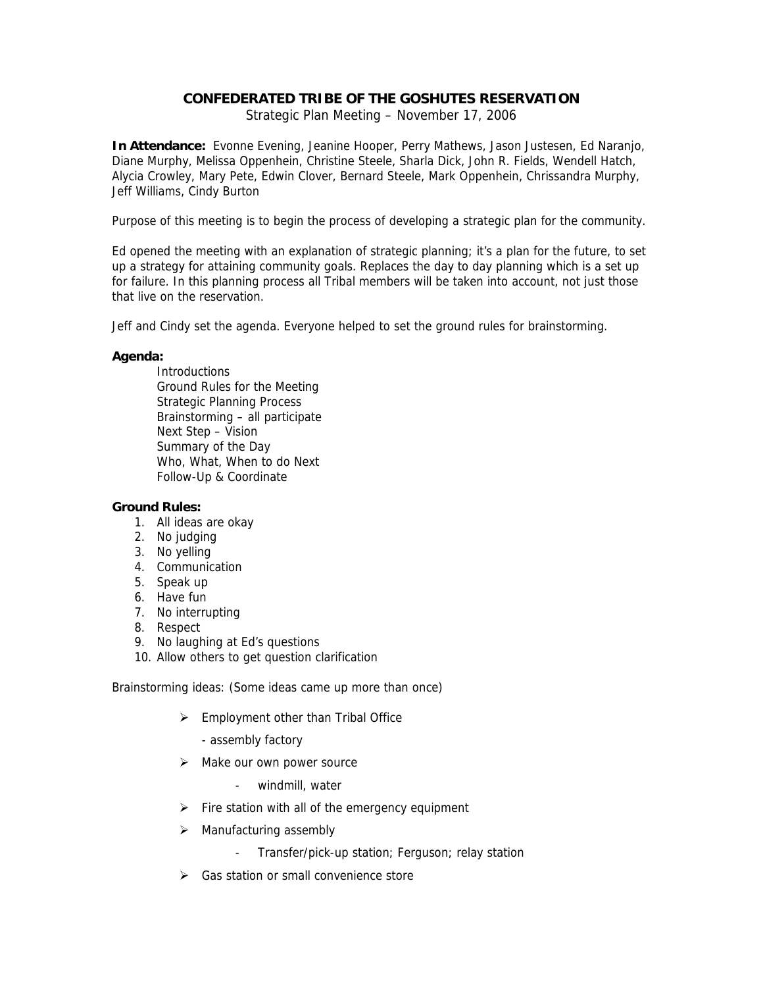## **CONFEDERATED TRIBE OF THE GOSHUTES RESERVATION**

Strategic Plan Meeting – November 17, 2006

**In Attendance:** Evonne Evening, Jeanine Hooper, Perry Mathews, Jason Justesen, Ed Naranjo, Diane Murphy, Melissa Oppenhein, Christine Steele, Sharla Dick, John R. Fields, Wendell Hatch, Alycia Crowley, Mary Pete, Edwin Clover, Bernard Steele, Mark Oppenhein, Chrissandra Murphy, Jeff Williams, Cindy Burton

Purpose of this meeting is to begin the process of developing a strategic plan for the community.

Ed opened the meeting with an explanation of strategic planning; it's a plan for the future, to set up a strategy for attaining community goals. Replaces the day to day planning which is a set up for failure. In this planning process all Tribal members will be taken into account, not just those that live on the reservation.

Jeff and Cindy set the agenda. Everyone helped to set the ground rules for brainstorming.

## **Agenda:**

**Introductions**  Ground Rules for the Meeting Strategic Planning Process Brainstorming – all participate Next Step – Vision Summary of the Day Who, What, When to do Next Follow-Up & Coordinate

## **Ground Rules:**

- 1. All ideas are okay
- 2. No judging
- 3. No yelling
- 4. Communication
- 5. Speak up
- 6. Have fun
- 7. No interrupting
- 8. Respect
- 9. No laughing at Ed's questions
- 10. Allow others to get question clarification

Brainstorming ideas: (Some ideas came up more than once)

- $\triangleright$  Employment other than Tribal Office
	- assembly factory
- $\triangleright$  Make our own power source
	- windmill, water
- $\triangleright$  Fire station with all of the emergency equipment
- $\triangleright$  Manufacturing assembly
	- Transfer/pick-up station; Ferguson; relay station
- $\triangleright$  Gas station or small convenience store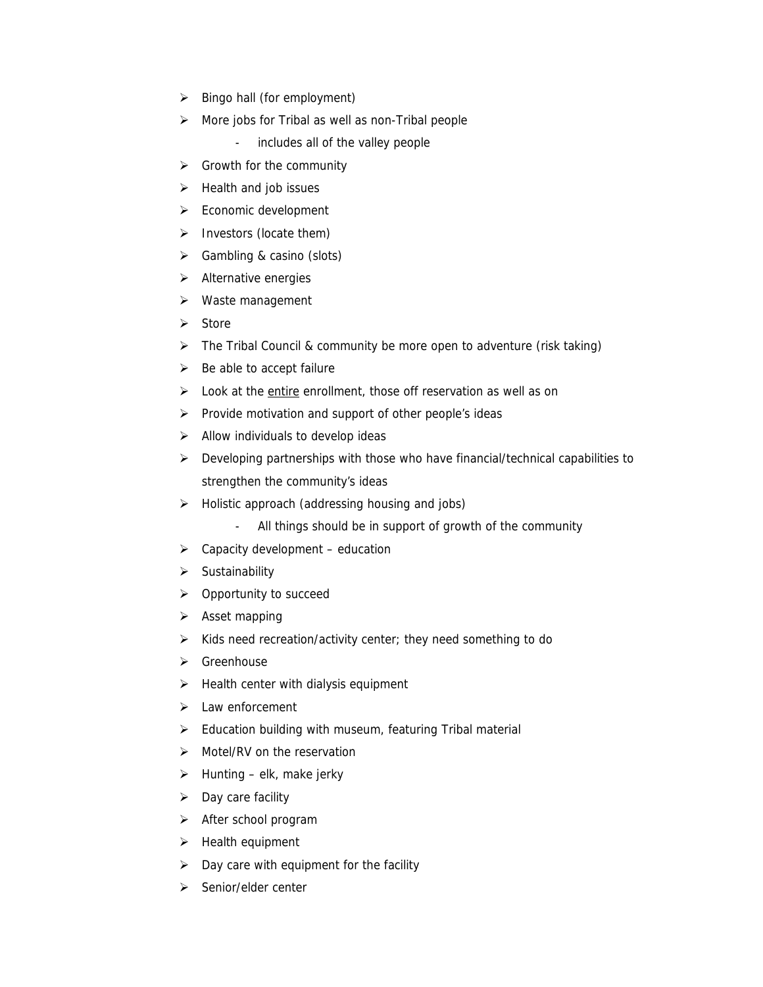- $\triangleright$  Bingo hall (for employment)
- $\triangleright$  More jobs for Tribal as well as non-Tribal people
	- includes all of the valley people
- $\triangleright$  Growth for the community
- $\triangleright$  Health and job issues
- $\triangleright$  Economic development
- $\triangleright$  Investors (locate them)
- $\triangleright$  Gambling & casino (slots)
- $\triangleright$  Alternative energies
- ¾ Waste management
- ¾ Store
- $\triangleright$  The Tribal Council & community be more open to adventure (risk taking)
- $\triangleright$  Be able to accept failure
- ▶ Look at the entire enrollment, those off reservation as well as on
- ¾ Provide motivation and support of other people's ideas
- $\triangleright$  Allow individuals to develop ideas
- ¾ Developing partnerships with those who have financial/technical capabilities to strengthen the community's ideas
- ¾ Holistic approach (addressing housing and jobs)
	- All things should be in support of growth of the community
- $\triangleright$  Capacity development education
- ¾ Sustainability
- $\triangleright$  Opportunity to succeed
- $\triangleright$  Asset mapping
- $\triangleright$  Kids need recreation/activity center; they need something to do
- $\triangleright$  Greenhouse
- $\blacktriangleright$  Health center with dialysis equipment
- $\blacktriangleright$  Law enforcement
- $\triangleright$  Education building with museum, featuring Tribal material
- $\triangleright$  Motel/RV on the reservation
- $\triangleright$  Hunting elk, make jerky
- $\triangleright$  Day care facility
- $\triangleright$  After school program
- $\blacktriangleright$  Health equipment
- $\triangleright$  Day care with equipment for the facility
- $\triangleright$  Senior/elder center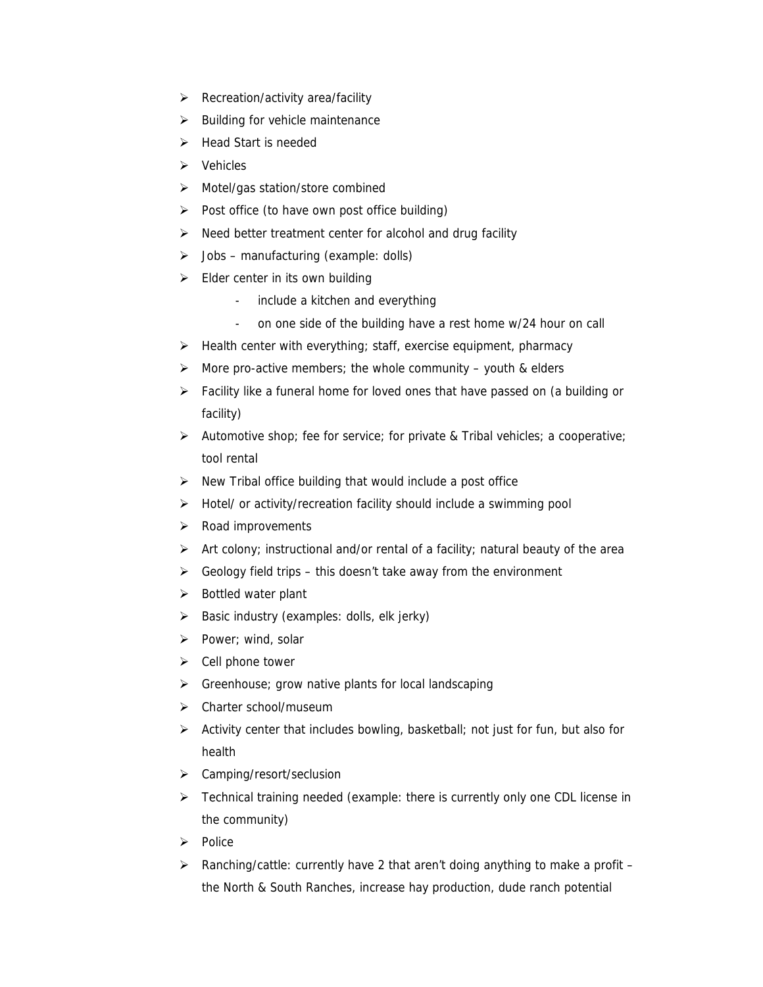- $\triangleright$  Recreation/activity area/facility
- $\blacktriangleright$  Building for vehicle maintenance
- ¾ Head Start is needed
- $\triangleright$  Vehicles
- ¾ Motel/gas station/store combined
- $\triangleright$  Post office (to have own post office building)
- $\triangleright$  Need better treatment center for alcohol and drug facility
- $\triangleright$  Jobs manufacturing (example: dolls)
- $\triangleright$  Elder center in its own building
	- include a kitchen and everything
	- on one side of the building have a rest home w/24 hour on call
- $\triangleright$  Health center with everything; staff, exercise equipment, pharmacy
- $\triangleright$  More pro-active members; the whole community youth & elders
- ¾ Facility like a funeral home for loved ones that have passed on (a building or facility)
- $\triangleright$  Automotive shop; fee for service; for private & Tribal vehicles; a cooperative; tool rental
- $\triangleright$  New Tribal office building that would include a post office
- ¾ Hotel/ or activity/recreation facility should include a swimming pool
- ¾ Road improvements
- $\triangleright$  Art colony; instructional and/or rental of a facility; natural beauty of the area
- $\triangleright$  Geology field trips this doesn't take away from the environment
- $\triangleright$  Bottled water plant
- $\triangleright$  Basic industry (examples: dolls, elk jerky)
- ¾ Power; wind, solar
- $\triangleright$  Cell phone tower
- $\triangleright$  Greenhouse; grow native plants for local landscaping
- ¾ Charter school/museum
- ¾ Activity center that includes bowling, basketball; not just for fun, but also for health
- ¾ Camping/resort/seclusion
- ¾ Technical training needed (example: there is currently only one CDL license in the community)
- ¾ Police
- $\triangleright$  Ranching/cattle: currently have 2 that aren't doing anything to make a profit the North & South Ranches, increase hay production, dude ranch potential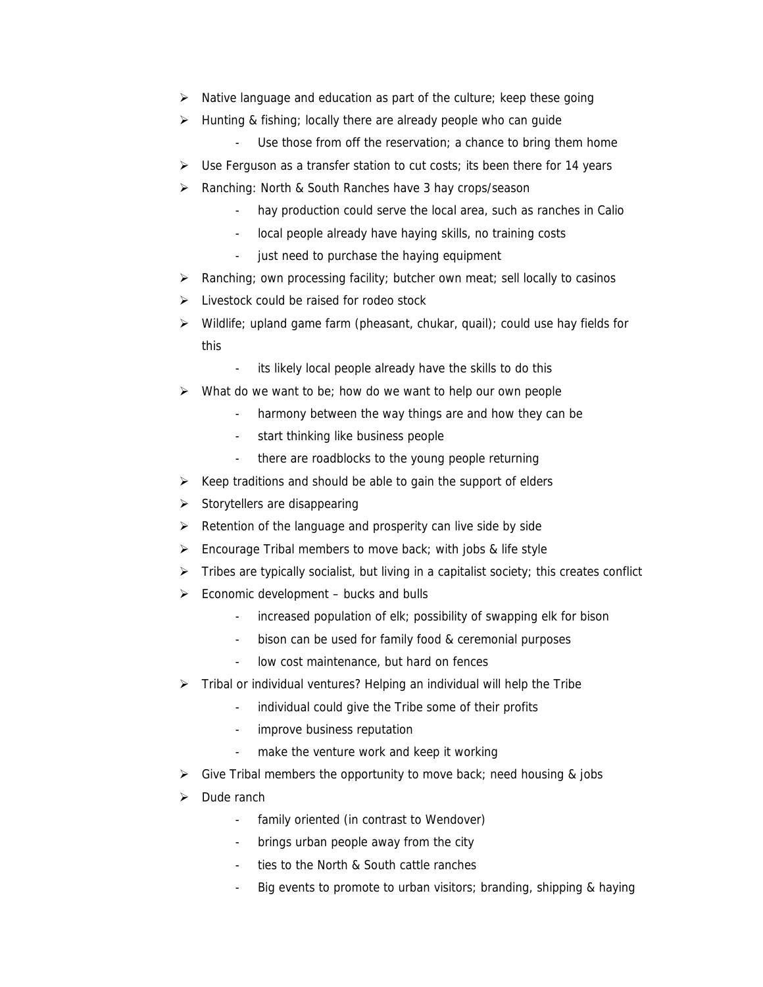- $\triangleright$  Native language and education as part of the culture; keep these going
- $\triangleright$  Hunting & fishing; locally there are already people who can guide
	- Use those from off the reservation; a chance to bring them home
- $\triangleright$  Use Ferguson as a transfer station to cut costs; its been there for 14 years
- ¾ Ranching: North & South Ranches have 3 hay crops/season
	- hay production could serve the local area, such as ranches in Calio
	- local people already have haying skills, no training costs
	- just need to purchase the haying equipment
- $\triangleright$  Ranching; own processing facility; butcher own meat; sell locally to casinos
- $\triangleright$  Livestock could be raised for rodeo stock
- $\triangleright$  Wildlife; upland game farm (pheasant, chukar, quail); could use hay fields for this
	- its likely local people already have the skills to do this
- $\triangleright$  What do we want to be; how do we want to help our own people
	- harmony between the way things are and how they can be
	- start thinking like business people
	- there are roadblocks to the young people returning
- $\triangleright$  Keep traditions and should be able to gain the support of elders
- $\triangleright$  Storytellers are disappearing
- $\triangleright$  Retention of the language and prosperity can live side by side
- $\triangleright$  Encourage Tribal members to move back; with jobs & life style
- $\triangleright$  Tribes are typically socialist, but living in a capitalist society; this creates conflict
- $\triangleright$  Economic development bucks and bulls
	- increased population of elk; possibility of swapping elk for bison
	- bison can be used for family food & ceremonial purposes
	- low cost maintenance, but hard on fences
- $\triangleright$  Tribal or individual ventures? Helping an individual will help the Tribe
	- individual could give the Tribe some of their profits
	- improve business reputation
	- make the venture work and keep it working
- $\triangleright$  Give Tribal members the opportunity to move back; need housing & jobs
- $\triangleright$  Dude ranch
	- family oriented (in contrast to Wendover)
	- brings urban people away from the city
	- ties to the North & South cattle ranches
	- Big events to promote to urban visitors; branding, shipping & haying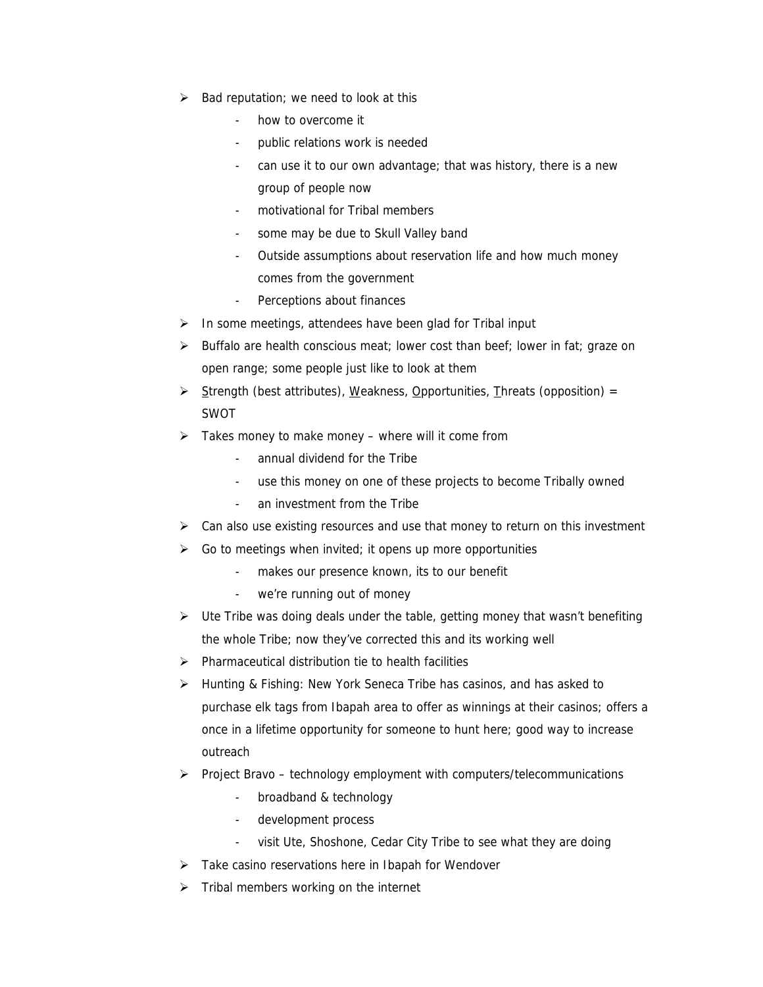- $\triangleright$  Bad reputation; we need to look at this
	- how to overcome it
	- public relations work is needed
	- can use it to our own advantage; that was history, there is a new group of people now
	- motivational for Tribal members
	- some may be due to Skull Valley band
	- Outside assumptions about reservation life and how much money comes from the government
	- Perceptions about finances
- $\triangleright$  In some meetings, attendees have been glad for Tribal input
- ¾ Buffalo are health conscious meat; lower cost than beef; lower in fat; graze on open range; some people just like to look at them
- $\triangleright$  Strength (best attributes), Weakness, Opportunities, Threats (opposition) = SWOT
- $\triangleright$  Takes money to make money where will it come from
	- annual dividend for the Tribe
	- use this money on one of these projects to become Tribally owned
	- an investment from the Tribe
- $\triangleright$  Can also use existing resources and use that money to return on this investment
- $\triangleright$  Go to meetings when invited; it opens up more opportunities
	- makes our presence known, its to our benefit
	- we're running out of money
- $\triangleright$  Ute Tribe was doing deals under the table, getting money that wasn't benefiting the whole Tribe; now they've corrected this and its working well
- $\triangleright$  Pharmaceutical distribution tie to health facilities
- ¾ Hunting & Fishing: New York Seneca Tribe has casinos, and has asked to purchase elk tags from Ibapah area to offer as winnings at their casinos; offers a once in a lifetime opportunity for someone to hunt here; good way to increase outreach
- ¾ Project Bravo technology employment with computers/telecommunications
	- broadband & technology
	- development process
	- visit Ute, Shoshone, Cedar City Tribe to see what they are doing
- $\triangleright$  Take casino reservations here in Ibapah for Wendover
- $\triangleright$  Tribal members working on the internet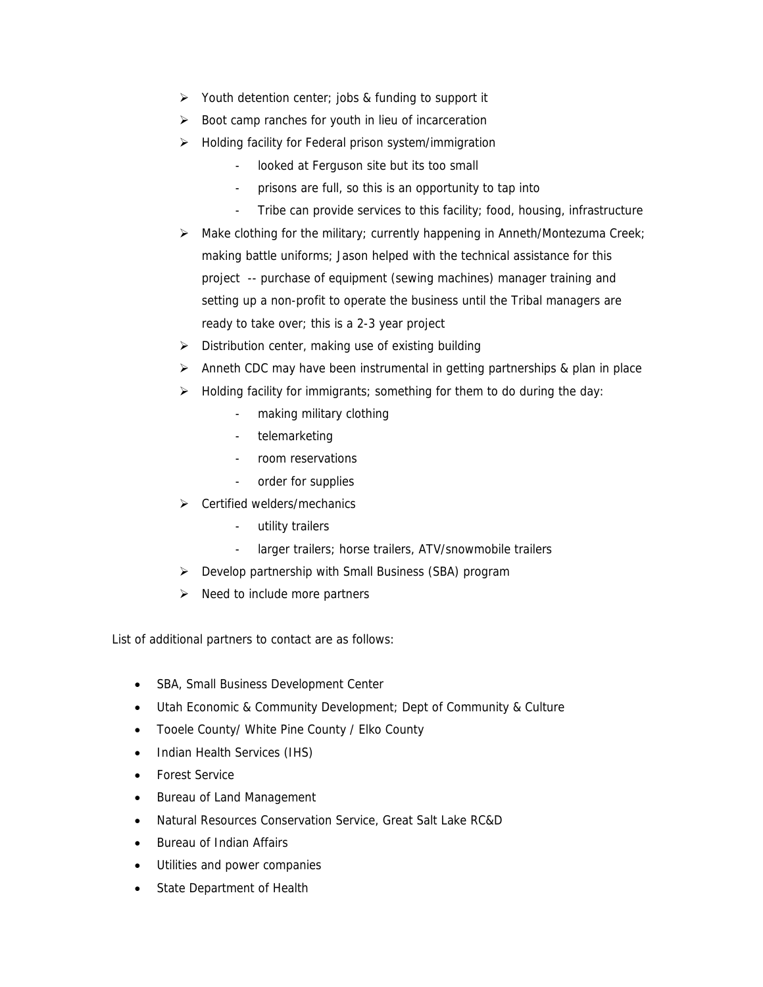- $\triangleright$  Youth detention center; jobs & funding to support it
- $\triangleright$  Boot camp ranches for youth in lieu of incarceration
- ¾ Holding facility for Federal prison system/immigration
	- looked at Ferguson site but its too small
	- prisons are full, so this is an opportunity to tap into
	- Tribe can provide services to this facility; food, housing, infrastructure
- ¾ Make clothing for the military; currently happening in Anneth/Montezuma Creek; making battle uniforms; Jason helped with the technical assistance for this project -- purchase of equipment (sewing machines) manager training and setting up a non-profit to operate the business until the Tribal managers are ready to take over; this is a 2-3 year project
- $\triangleright$  Distribution center, making use of existing building
- $\triangleright$  Anneth CDC may have been instrumental in getting partnerships & plan in place
- $\triangleright$  Holding facility for immigrants; something for them to do during the day:
	- making military clothing
	- telemarketing
	- room reservations
	- order for supplies
- $\triangleright$  Certified welders/mechanics
	- utility trailers
	- larger trailers; horse trailers, ATV/snowmobile trailers
- $\triangleright$  Develop partnership with Small Business (SBA) program
- $\triangleright$  Need to include more partners

List of additional partners to contact are as follows:

- SBA, Small Business Development Center
- Utah Economic & Community Development; Dept of Community & Culture
- Tooele County/ White Pine County / Elko County
- Indian Health Services (IHS)
- Forest Service
- Bureau of Land Management
- Natural Resources Conservation Service, Great Salt Lake RC&D
- Bureau of Indian Affairs
- Utilities and power companies
- State Department of Health